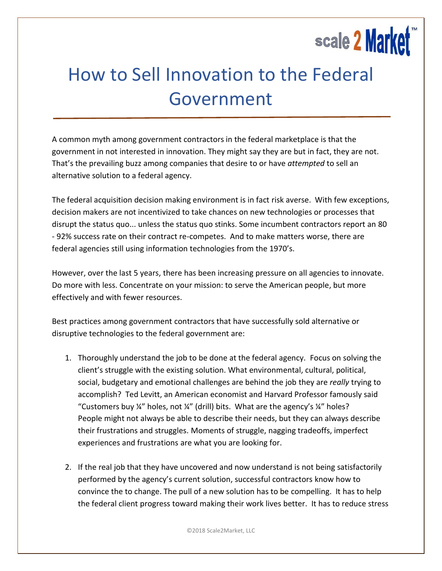

## How to Sell Innovation to the Federal Government

A common myth among government contractors in the federal marketplace is that the government in not interested in innovation. They might say they are but in fact, they are not. That's the prevailing buzz among companies that desire to or have *attempted* to sell an alternative solution to a federal agency.

The federal acquisition decision making environment is in fact risk averse. With few exceptions, decision makers are not incentivized to take chances on new technologies or processes that disrupt the status quo... unless the status quo stinks. Some incumbent contractors report an 80 - 92% success rate on their contract re-competes. And to make matters worse, there are federal agencies still using information technologies from the 1970's.

However, over the last 5 years, there has been increasing pressure on all agencies to innovate. Do more with less. Concentrate on your mission: to serve the American people, but more effectively and with fewer resources.

Best practices among government contractors that have successfully sold alternative or disruptive technologies to the federal government are:

- 1. Thoroughly understand the job to be done at the federal agency. Focus on solving the client's struggle with the existing solution. What environmental, cultural, political, social, budgetary and emotional challenges are behind the job they are *really* trying to accomplish? Ted Levitt, an American economist and Harvard Professor famously said "Customers buy  $\frac{1}{4}$ " holes, not  $\frac{1}{4}$ " (drill) bits. What are the agency's  $\frac{1}{4}$ " holes? People might not always be able to describe their needs, but they can always describe their frustrations and struggles. Moments of struggle, nagging tradeoffs, imperfect experiences and frustrations are what you are looking for.
- 2. If the real job that they have uncovered and now understand is not being satisfactorily performed by the agency's current solution, successful contractors know how to convince the to change. The pull of a new solution has to be compelling. It has to help the federal client progress toward making their work lives better. It has to reduce stress

©2018 Scale2Market, LLC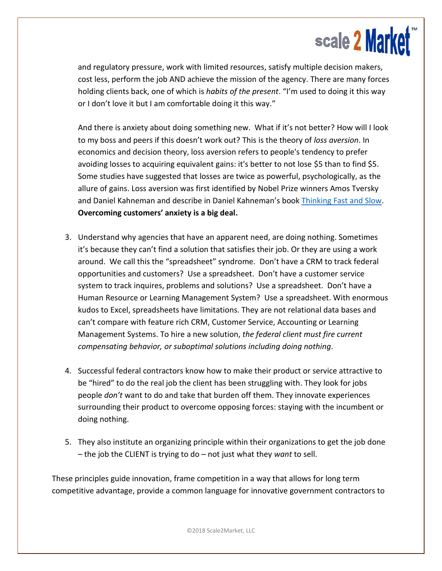

and regulatory pressure, work with limited resources, satisfy multiple decision makers, cost less, perform the job AND achieve the mission of the agency. There are many forces holding clients back, one of which is *habits of the present*. "I'm used to doing it this way or I don't love it but I am comfortable doing it this way."

And there is anxiety about doing something new. What if it's not better? How will I look to my boss and peers if this doesn't work out? This is the theory of *loss aversion*. In economics and decision theory, loss aversion refers to people's tendency to prefer avoiding losses to acquiring equivalent gains: it's better to not lose \$5 than to find \$5. Some studies have suggested that losses are twice as powerful, psychologically, as the allure of gains. Loss aversion was first identified by Nobel Prize winners Amos Tversky and Daniel Kahneman and describe in Daniel Kahneman's book [Thinking Fast and Slow.](https://www.amazon.com/Thinking-Fast-Slow-Daniel-Kahneman/dp/0374533555) **Overcoming customers' anxiety is a big deal.**

- 3. Understand why agencies that have an apparent need, are doing nothing. Sometimes it's because they can't find a solution that satisfies their job. Or they are using a work around. We call this the "spreadsheet" syndrome. Don't have a CRM to track federal opportunities and customers? Use a spreadsheet. Don't have a customer service system to track inquires, problems and solutions? Use a spreadsheet. Don't have a Human Resource or Learning Management System? Use a spreadsheet. With enormous kudos to Excel, spreadsheets have limitations. They are not relational data bases and can't compare with feature rich CRM, Customer Service, Accounting or Learning Management Systems. To hire a new solution, *the federal client must fire current compensating behavior, or suboptimal solutions including doing nothing*.
- 4. Successful federal contractors know how to make their product or service attractive to be "hired" to do the real job the client has been struggling with. They look for jobs people *don't* want to do and take that burden off them. They innovate experiences surrounding their product to overcome opposing forces: staying with the incumbent or doing nothing.
- 5. They also institute an organizing principle within their organizations to get the job done – the job the CLIENT is trying to do – not just what they *want* to sell.

These principles guide innovation, frame competition in a way that allows for long term competitive advantage, provide a common language for innovative government contractors to